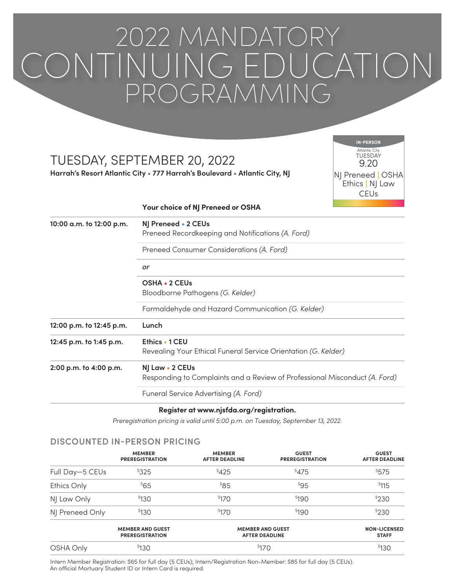# 2022 MANDATORY CONTINUING EDUCATION PROGRAMMING

# TUESDAY, SEPTEMBER 20, 2022

**Harrah's Resort Atlantic City • 777 Harrah's Boulevard • Atlantic City, NJ**

TUESDAY Atlantic City9.20 NJ Preneed | OSHA Ethics | NJ Law **CEU<sub>s</sub> IN-PERSON**

#### **Your choice of NJ Preneed or OSHA**

| 10:00 a.m. to 12:00 p.m. | NJ Preneed • 2 CEUs<br>Preneed Recordkeeping and Notifications (A. Ford)                      |       |  |  |
|--------------------------|-----------------------------------------------------------------------------------------------|-------|--|--|
|                          | Preneed Consumer Considerations (A. Ford)<br>or                                               |       |  |  |
|                          |                                                                                               |       |  |  |
|                          | Bloodborne Pathogens (G. Kelder)                                                              |       |  |  |
|                          | Formaldehyde and Hazard Communication (G. Kelder)                                             |       |  |  |
|                          | 12:00 p.m. to 12:45 p.m.                                                                      | Lunch |  |  |
| 12:45 p.m. to 1:45 p.m.  | Ethics • 1 CEU<br>Revealing Your Ethical Funeral Service Orientation (G. Kelder)              |       |  |  |
| 2:00 p.m. to 4:00 p.m.   | NJ Law • 2 CEUs<br>Responding to Complaints and a Review of Professional Misconduct (A. Ford) |       |  |  |
|                          | Funeral Service Advertising (A. Ford)                                                         |       |  |  |

### **Register at www.njsfda.org/registration.**

*Preregistration pricing is valid until 5:00 p.m. on Tuesday, September 13, 2022.*

# **DISCOUNTED IN-PERSON PRICING**

|                 | <b>MEMBER</b><br><b>PREREGISTRATION</b>           | <b>MEMBER</b><br><b>AFTER DEADLINE</b>           | <b>GUEST</b><br><b>PREREGISTRATION</b> | <b>GUEST</b><br><b>AFTER DEADLINE</b> |
|-----------------|---------------------------------------------------|--------------------------------------------------|----------------------------------------|---------------------------------------|
| Full Day-5 CEUs | \$325                                             | \$425                                            | \$475                                  | \$575                                 |
| Ethics Only     | \$65                                              | $85^\circ$                                       | \$95                                   | \$115                                 |
| NJ Law Only     | \$130                                             | \$170                                            | \$190                                  | \$230                                 |
| NJ Preneed Only | <sup>\$</sup> 130                                 | \$170                                            | \$190                                  | \$230                                 |
|                 | <b>MEMBER AND GUEST</b><br><b>PREREGISTRATION</b> | <b>MEMBER AND GUEST</b><br><b>AFTER DEADLINE</b> |                                        | <b>NON-LICENSED</b><br><b>STAFF</b>   |
| OSHA Only       | <sup>\$</sup> 130                                 | \$170                                            |                                        | \$130                                 |

Intern Member Registration: \$65 for full day (5 CEUs); Intern/Registration Non-Member: \$85 for full day (5 CEUs). An official Mortuary Student ID or Intern Card is required.